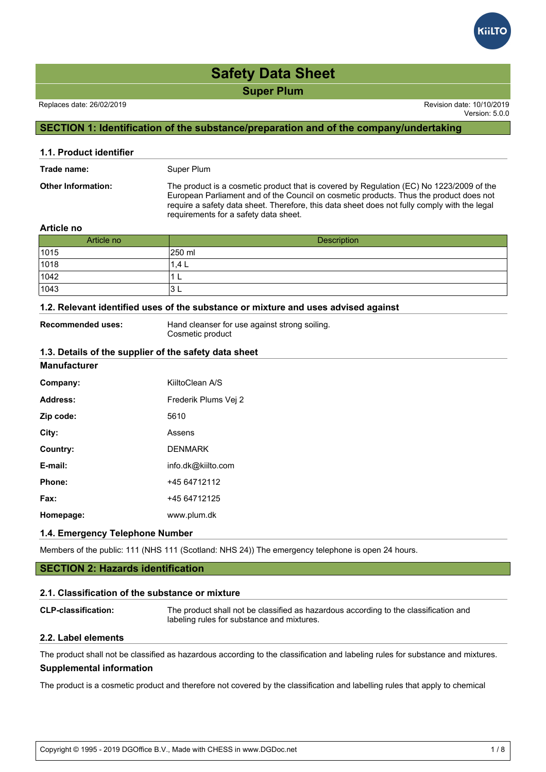

Version: 5.0.0

# **SECTION 1: Identification of the substance/preparation and of the company/undertaking**

| 1.1. Product identifier   |                                                                                                                                                                                                                                                                                                                             |  |
|---------------------------|-----------------------------------------------------------------------------------------------------------------------------------------------------------------------------------------------------------------------------------------------------------------------------------------------------------------------------|--|
| Trade name:               | Super Plum                                                                                                                                                                                                                                                                                                                  |  |
| <b>Other Information:</b> | The product is a cosmetic product that is covered by Regulation (EC) No 1223/2009 of the<br>European Parliament and of the Council on cosmetic products. Thus the product does not<br>require a safety data sheet. Therefore, this data sheet does not fully comply with the legal<br>requirements for a safety data sheet. |  |
| And also as               |                                                                                                                                                                                                                                                                                                                             |  |

#### **Article no**

| Article no | Description |
|------------|-------------|
| 1015       | 250 ml      |
| 1018       | 1.4L        |
| 1042       | ┖           |
| 1043       | 3 L         |

# **1.2. Relevant identified uses of the substance or mixture and uses advised against**

**Recommended uses:** Hand cleanser for use against strong soiling. Cosmetic product

#### **1.3. Details of the supplier of the safety data sheet**

| <b>Manufacturer</b> |                      |
|---------------------|----------------------|
| Company:            | KiiltoClean A/S      |
| Address:            | Frederik Plums Vej 2 |
| Zip code:           | 5610                 |
| City:               | Assens               |
| Country:            | <b>DENMARK</b>       |
| E-mail:             | info.dk@kiilto.com   |
| Phone:              | +45 64712112         |
| Fax:                | +45 64712125         |
| Homepage:           | www.plum.dk          |

# **1.4. Emergency Telephone Number**

Members of the public: 111 (NHS 111 (Scotland: NHS 24)) The emergency telephone is open 24 hours.

# **SECTION 2: Hazards identification**

# **2.1. Classification of the substance or mixture**

**CLP-classification:** The product shall not be classified as hazardous according to the classification and labeling rules for substance and mixtures.

# **2.2. Label elements**

The product shall not be classified as hazardous according to the classification and labeling rules for substance and mixtures. **Supplemental information**

The product is a cosmetic product and therefore not covered by the classification and labelling rules that apply to chemical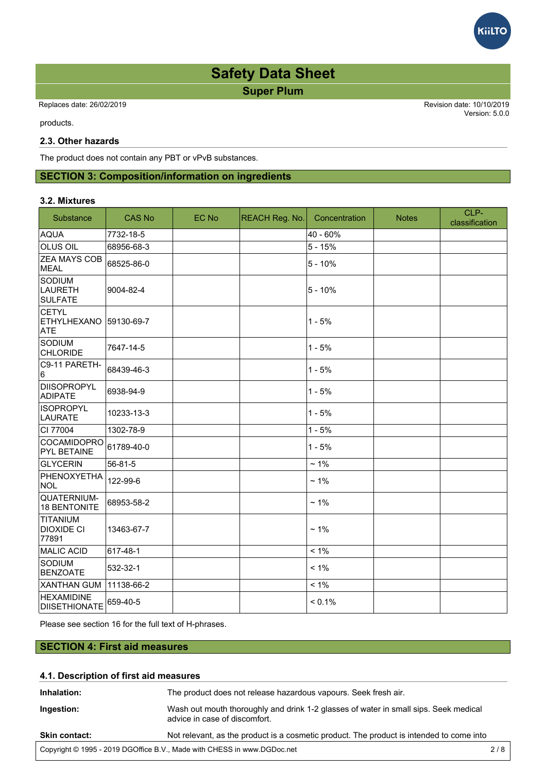

 Replaces date: 26/02/2019 Revision date: 10/10/2019 Version: 5.0.0 The product and therefore not covered by the covered by the classification and labelling rules that apply to chemical by the chemical rules that apply to chemical rules that apply to chemical rules that apply to chemical

products.

### **2.3. Other hazards**

The product does not contain any PBT or vPvB substances.

# **SECTION 3: Composition/information on ingredients**

#### **3.2. Mixtures**

| Substance                                        | <b>CAS No</b> | EC No | <b>REACH Reg. No.</b> | Concentration | <b>Notes</b> | CLP-<br>classification |
|--------------------------------------------------|---------------|-------|-----------------------|---------------|--------------|------------------------|
| <b>AQUA</b>                                      | 7732-18-5     |       |                       | 40 - 60%      |              |                        |
| iolus oil                                        | 68956-68-3    |       |                       | $5 - 15%$     |              |                        |
| <b>ZEA MAYS COB</b><br>MEAL                      | 68525-86-0    |       |                       | $5 - 10%$     |              |                        |
| SODIUM<br>LAURETH<br><b>SULFATE</b>              | 9004-82-4     |       |                       | $5 - 10%$     |              |                        |
| <b>CETYL</b><br><b>ETHYLHEXANO</b><br><b>ATE</b> | 59130-69-7    |       |                       | $1 - 5%$      |              |                        |
| SODIUM<br><b>CHLORIDE</b>                        | 7647-14-5     |       |                       | $1 - 5%$      |              |                        |
| C9-11 PARETH-<br>16                              | 68439-46-3    |       |                       | $1 - 5%$      |              |                        |
| <b>DIISOPROPYL</b><br><b>ADIPATE</b>             | 6938-94-9     |       |                       | $1 - 5%$      |              |                        |
| <b>ISOPROPYL</b><br>LAURATE                      | 10233-13-3    |       |                       | $1 - 5%$      |              |                        |
| CI 77004                                         | 1302-78-9     |       |                       | $1 - 5%$      |              |                        |
| COCAMIDOPRO<br><b>PYL BETAINE</b>                | 61789-40-0    |       |                       | $1 - 5%$      |              |                        |
| GLYCERIN                                         | 56-81-5       |       |                       | $~1\%$        |              |                        |
| PHENOXYETHA<br>NOL                               | 122-99-6      |       |                       | $~1\%$        |              |                        |
| QUATERNIUM-<br>18 BENTONITE                      | 68953-58-2    |       |                       | $~1\%$        |              |                        |
| TITANIUM<br><b>DIOXIDE CI</b><br>77891           | 13463-67-7    |       |                       | $~1\%$        |              |                        |
| MALIC ACID                                       | 617-48-1      |       |                       | $< 1\%$       |              |                        |
| SODIUM<br><b>BENZOATE</b>                        | 532-32-1      |       |                       | $< 1\%$       |              |                        |
| <b>XANTHAN GUM</b>                               | 11138-66-2    |       |                       | $< 1\%$       |              |                        |
| <b>HEXAMIDINE</b><br><b>DIISETHIONATE</b>        | 659-40-5      |       |                       | < 0.1%        |              |                        |

Please see section 16 for the full text of H-phrases.

# **SECTION 4: First aid measures**

# **4.1. Description of first aid measures Inhalation:** The product does not release hazardous vapours. Seek fresh air. **Ingestion:** Wash out mouth thoroughly and drink 1-2 glasses of water in small sips. Seek medical advice in case of discomfort. **Skin contact:** Not relevant, as the product is a cosmetic product. The product is intended to come into Copyright © 1995 - 2019 DGOffice B.V., Made with CHESS in www.DGDoc.net 2 / 8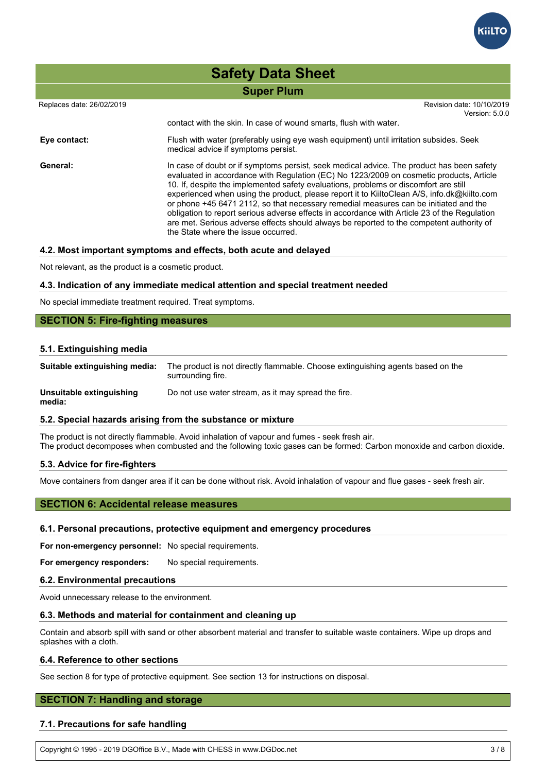

# Replaces date: 26/02/2019 Revision date: 10/10/2019 Version: 5.0.0 **Super Plum Safety Data Sheet**  $S_{\rm N}$  . Note that product is a contact:  $S_{\rm N}$  contact:  $S_{\rm N}$  contact:  $S_{\rm N}$  contact:  $S_{\rm N}$  contact:  $S_{\rm N}$ contact with the skin. In case of wound smarts, flush with water. **Eye contact:** Flush with water (preferably using eye wash equipment) until irritation subsides. Seek medical advice if symptoms persist. General: **In case of doubt or if symptoms persist**, seek medical advice. The product has been safety evaluated in accordance with Regulation (EC) No 1223/2009 on cosmetic products, Article 10. If, despite the implemented safety evaluations, problems or discomfort are still experienced when using the product, please report it to KiiltoClean A/S, info.dk@kiilto.com or phone +45 6471 2112, so that necessary remedial measures can be initiated and the obligation to report serious adverse effects in accordance with Article 23 of the Regulation are met. Serious adverse effects should always be reported to the competent authority of the State where the issue occurred.

#### **4.2. Most important symptoms and effects, both acute and delayed**

Not relevant, as the product is a cosmetic product.

#### **4.3. Indication of any immediate medical attention and special treatment needed**

No special immediate treatment required. Treat symptoms.

# **SECTION 5: Fire-fighting measures**

#### **5.1. Extinguishing media**

| Suitable extinguishing media:      | The product is not directly flammable. Choose extinguishing agents based on the<br>surrounding fire. |
|------------------------------------|------------------------------------------------------------------------------------------------------|
| Unsuitable extinguishing<br>media: | Do not use water stream, as it may spread the fire.                                                  |

#### **5.2. Special hazards arising from the substance or mixture**

The product is not directly flammable. Avoid inhalation of vapour and fumes - seek fresh air. The product decomposes when combusted and the following toxic gases can be formed: Carbon monoxide and carbon dioxide.

#### **5.3. Advice for fire-fighters**

Move containers from danger area if it can be done without risk. Avoid inhalation of vapour and flue gases - seek fresh air.

# **SECTION 6: Accidental release measures**

#### **6.1. Personal precautions, protective equipment and emergency procedures**

**For non-emergency personnel:** No special requirements.

**For emergency responders:** No special requirements.

### **6.2. Environmental precautions**

Avoid unnecessary release to the environment.

#### **6.3. Methods and material for containment and cleaning up**

Contain and absorb spill with sand or other absorbent material and transfer to suitable waste containers. Wipe up drops and splashes with a cloth.

#### **6.4. Reference to other sections**

See section 8 for type of protective equipment. See section 13 for instructions on disposal.

# **SECTION 7: Handling and storage**

#### **7.1. Precautions for safe handling**

Copyright © 1995 - 2019 DGOffice B.V., Made with CHESS in www.DGDoc.net 3 / 8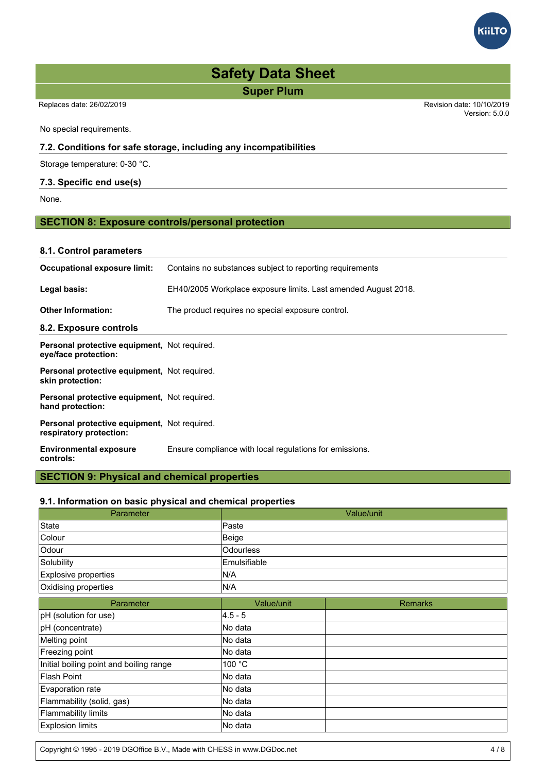

Replaces date: 26/02/2019 Revision date: 10/10/2019

Version: 5.0.0

No special requirements.

# **7.2. Conditions for safe storage, including any incompatibilities**

Storage temperature: 0-30 °C.

# **7.3. Specific end use(s)**

None.

# **SECTION 8: Exposure controls/personal protection**

# **8.1. Control parameters**

| Occupational exposure limit:                                            | Contains no substances subject to reporting requirements       |
|-------------------------------------------------------------------------|----------------------------------------------------------------|
| Legal basis:                                                            | EH40/2005 Workplace exposure limits. Last amended August 2018. |
| <b>Other Information:</b>                                               | The product requires no special exposure control.              |
| 8.2. Exposure controls                                                  |                                                                |
| Personal protective equipment, Not required.<br>eye/face protection:    |                                                                |
| Personal protective equipment, Not required.<br>skin protection:        |                                                                |
| Personal protective equipment, Not required.<br>hand protection:        |                                                                |
| Personal protective equipment, Not required.<br>respiratory protection: |                                                                |
| <b>Environmental exposure</b><br>controls:                              | Ensure compliance with local regulations for emissions.        |

# **SECTION 9: Physical and chemical properties**

# **9.1. Information on basic physical and chemical properties**

| Parameter                               |                  | Value/unit     |
|-----------------------------------------|------------------|----------------|
| State                                   | Paste            |                |
| Colour                                  | Beige            |                |
| Odour                                   | <b>Odourless</b> |                |
| Solubility                              | Emulsifiable     |                |
| Explosive properties                    | N/A              |                |
| Oxidising properties                    | N/A              |                |
| Parameter                               | Value/unit       | <b>Remarks</b> |
| pH (solution for use)                   | 4.5 - 5          |                |
| pH (concentrate)                        | No data          |                |
| Melting point                           | No data          |                |
| Freezing point                          | No data          |                |
| Initial boiling point and boiling range | 100 $\degree$ C  |                |
| <b>Flash Point</b>                      | No data          |                |
| Evaporation rate                        | No data          |                |
| Flammability (solid, gas)               | No data          |                |
| Flammability limits                     | No data          |                |
| <b>Explosion limits</b>                 | No data          |                |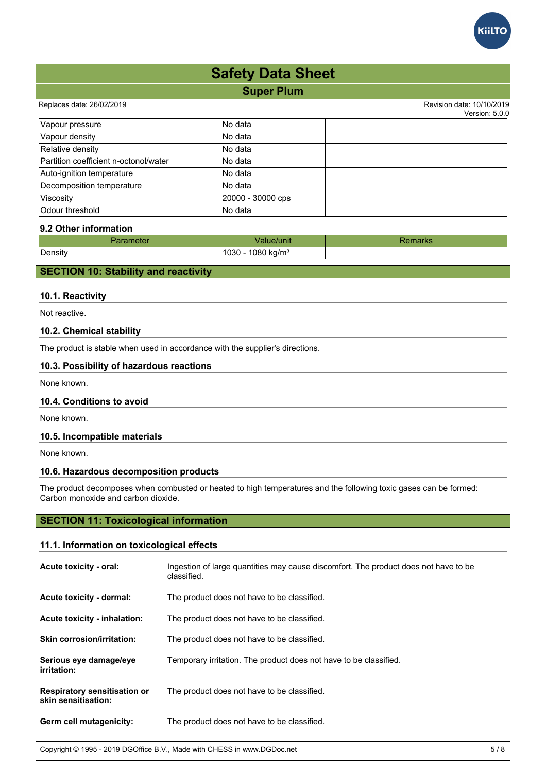

#### Replaces date: 26/02/2019 Revision date: 10/10/2019

 $V$ oroion:  $5.0.0$ 

|                                       |                   | version. b.u.u |
|---------------------------------------|-------------------|----------------|
| Vapour pressure                       | lNo data          |                |
| Vapour density                        | INo data          |                |
| Relative density                      | lNo data          |                |
| Partition coefficient n-octonol/water | lNo data          |                |
| Auto-ignition temperature             | lNo data          |                |
| Decomposition temperature             | lNo data          |                |
| Viscosity                             | 20000 - 30000 cps |                |
| <b>Odour threshold</b>                | lNo data          |                |

# **9.2 Other information**

| ielei   | Value/unit                         | Niai Na |
|---------|------------------------------------|---------|
| Density | 1080 kg/m <sup>3</sup><br>$1030 -$ |         |

# **SECTION 10: Stability and reactivity**

# **10.1. Reactivity**

Not reactive.

# **10.2. Chemical stability**

The product is stable when used in accordance with the supplier's directions.

# **10.3. Possibility of hazardous reactions**

None known.

# **10.4. Conditions to avoid**

None known.

### **10.5. Incompatible materials**

None known.

# **10.6. Hazardous decomposition products**

The product decomposes when combusted or heated to high temperatures and the following toxic gases can be formed: Carbon monoxide and carbon dioxide.

# **SECTION 11: Toxicological information**

# **11.1. Information on toxicological effects**

| Acute toxicity - oral:                                     | Ingestion of large guantities may cause discomfort. The product does not have to be<br>classified. |
|------------------------------------------------------------|----------------------------------------------------------------------------------------------------|
| Acute toxicity - dermal:                                   | The product does not have to be classified.                                                        |
| Acute toxicity - inhalation:                               | The product does not have to be classified.                                                        |
| <b>Skin corrosion/irritation:</b>                          | The product does not have to be classified.                                                        |
| Serious eye damage/eye<br>irritation:                      | Temporary irritation. The product does not have to be classified.                                  |
| <b>Respiratory sensitisation or</b><br>skin sensitisation: | The product does not have to be classified.                                                        |
| Germ cell mutagenicity:                                    | The product does not have to be classified.                                                        |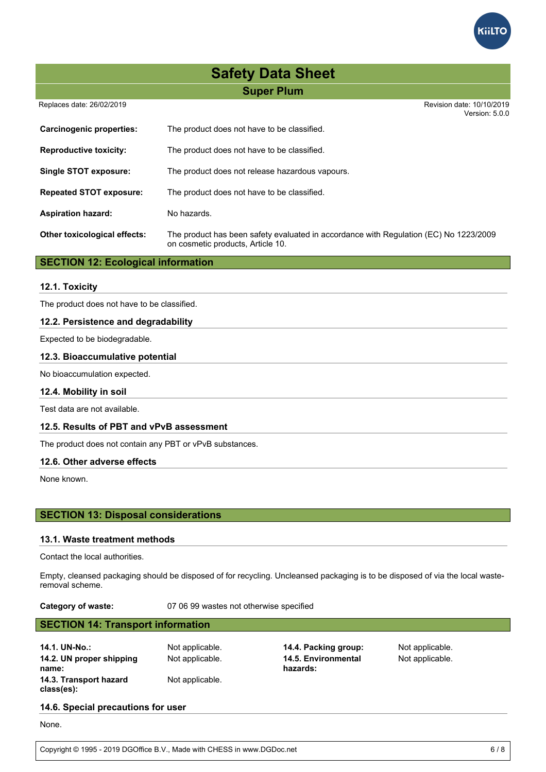

Replaces date: 26/02/2019 Revision date: 10/10/2019

Version: 5.0.0 **Carcinogenic properties:** The product does not have to be classified. **Reproductive toxicity:** The product does not have to be classified. **Single STOT exposure:** The product does not release hazardous vapours. **Repeated STOT exposure:** The product does not have to be classified. Aspiration hazard: No hazards. **Other toxicological effects:** The product has been safety evaluated in accordance with Regulation (EC) No 1223/2009 on cosmetic products, Article 10.

# **SECTION 12: Ecological information**

# **12.1. Toxicity**

The product does not have to be classified.

# **12.2. Persistence and degradability**

Expected to be biodegradable.

#### **12.3. Bioaccumulative potential**

No bioaccumulation expected.

### **12.4. Mobility in soil**

Test data are not available.

# **12.5. Results of PBT and vPvB assessment**

The product does not contain any PBT or vPvB substances.

#### **12.6. Other adverse effects**

None known.

# **SECTION 13: Disposal considerations**

#### **13.1. Waste treatment methods**

Contact the local authorities.

Empty, cleansed packaging should be disposed of for recycling. Uncleansed packaging is to be disposed of via the local wasteremoval scheme.

**Category of waste:** 07 06 99 wastes not otherwise specified

# **SECTION 14: Transport information**

**14.1. UN-No.:** Not applicable. **14.4. Packing group:** Not applicable. **14.2. UN proper shipping name: 14.3. Transport hazard class(es):**

Not applicable.

Not applicable. **14.5. Environmental hazards:**

Not applicable.

# **14.6. Special precautions for user**

None.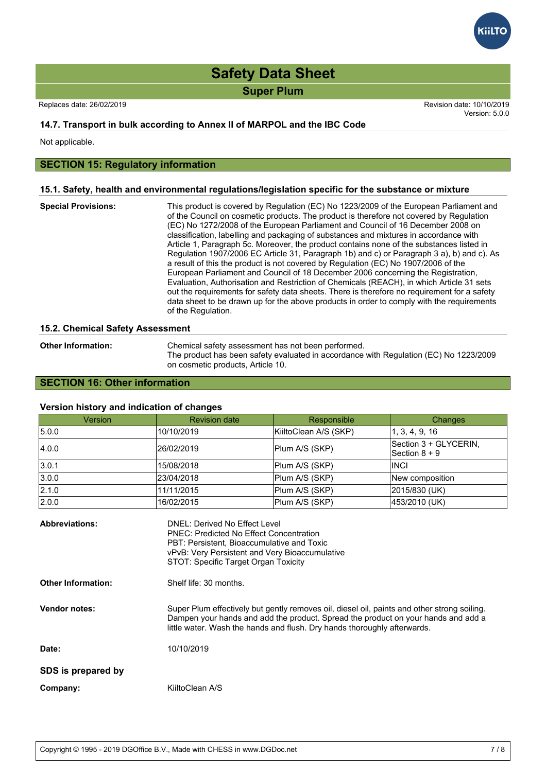Replaces date: 26/02/2019 Revision date: 10/10/2019 Version: 5.0.0

# **14.7. Transport in bulk according to Annex II of MARPOL and the IBC Code**

Not applicable.

# **SECTION 15: Regulatory information**

#### **15.1. Safety, health and environmental regulations/legislation specific for the substance or mixture**

**Special Provisions:** This product is covered by Regulation (EC) No 1223/2009 of the European Parliament and of the Council on cosmetic products. The product is therefore not covered by Regulation (EC) No 1272/2008 of the European Parliament and Council of 16 December 2008 on classification, labelling and packaging of substances and mixtures in accordance with Article 1, Paragraph 5c. Moreover, the product contains none of the substances listed in Regulation 1907/2006 EC Article 31, Paragraph 1b) and c) or Paragraph 3 a), b) and c). As a result of this the product is not covered by Regulation (EC) No 1907/2006 of the European Parliament and Council of 18 December 2006 concerning the Registration, Evaluation, Authorisation and Restriction of Chemicals (REACH), in which Article 31 sets out the requirements for safety data sheets. There is therefore no requirement for a safety data sheet to be drawn up for the above products in order to comply with the requirements of the Regulation.

#### **15.2. Chemical Safety Assessment**

| <b>Other Information:</b> | Chemical safety assessment has not been performed.                                    |
|---------------------------|---------------------------------------------------------------------------------------|
|                           | The product has been safety evaluated in accordance with Regulation (EC) No 1223/2009 |
|                           | on cosmetic products, Article 10.                                                     |

# **SECTION 16: Other information**

# **Version history and indication of changes**

| Version                                            | <b>Revision date</b>                                                                                                                                                                                                                              | Responsible                                                                                                                                                                                                                                                  | Changes                                  |
|----------------------------------------------------|---------------------------------------------------------------------------------------------------------------------------------------------------------------------------------------------------------------------------------------------------|--------------------------------------------------------------------------------------------------------------------------------------------------------------------------------------------------------------------------------------------------------------|------------------------------------------|
| 5.0.0                                              | 10/10/2019                                                                                                                                                                                                                                        | KiiltoClean A/S (SKP)                                                                                                                                                                                                                                        | 1, 3, 4, 9, 16                           |
| 4.0.0                                              | 26/02/2019                                                                                                                                                                                                                                        | Plum A/S (SKP)                                                                                                                                                                                                                                               | Section 3 + GLYCERIN,<br>Section $8 + 9$ |
| 3.0.1                                              | 15/08/2018                                                                                                                                                                                                                                        | Plum A/S (SKP)                                                                                                                                                                                                                                               | <b>INCI</b>                              |
| 3.0.0                                              | 23/04/2018                                                                                                                                                                                                                                        | Plum A/S (SKP)                                                                                                                                                                                                                                               | New composition                          |
| 2.1.0                                              | 11/11/2015                                                                                                                                                                                                                                        | Plum A/S (SKP)                                                                                                                                                                                                                                               | 2015/830 (UK)                            |
| 2.0.0                                              | 16/02/2015                                                                                                                                                                                                                                        | Plum A/S (SKP)                                                                                                                                                                                                                                               | 453/2010 (UK)                            |
| <b>Abbreviations:</b><br><b>Other Information:</b> | DNEL: Derived No Effect Level<br><b>PNEC: Predicted No Effect Concentration</b><br>PBT: Persistent, Bioaccumulative and Toxic<br>vPvB: Very Persistent and Very Bioaccumulative<br>STOT: Specific Target Organ Toxicity<br>Shelf life: 30 months. |                                                                                                                                                                                                                                                              |                                          |
| <b>Vendor notes:</b>                               |                                                                                                                                                                                                                                                   | Super Plum effectively but gently removes oil, diesel oil, paints and other strong soiling.<br>Dampen your hands and add the product. Spread the product on your hands and add a<br>little water. Wash the hands and flush. Dry hands thoroughly afterwards. |                                          |
| Date:                                              | 10/10/2019                                                                                                                                                                                                                                        |                                                                                                                                                                                                                                                              |                                          |
| SDS is prepared by                                 |                                                                                                                                                                                                                                                   |                                                                                                                                                                                                                                                              |                                          |
| Company:                                           | KiiltoClean A/S                                                                                                                                                                                                                                   |                                                                                                                                                                                                                                                              |                                          |